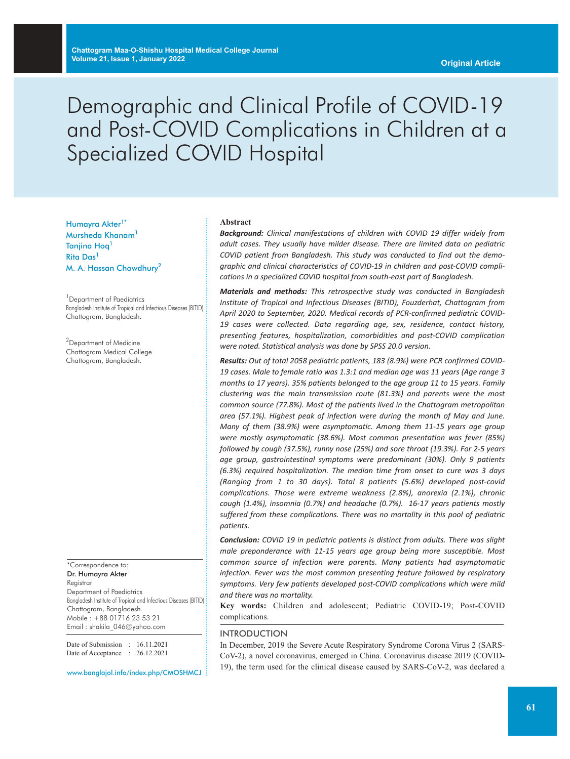# Demographic and Clinical Profile of COVID-19 and Post-COVID Complications in Children at a Specialized COVID Hospital

Humayra Akter<sup>1\*</sup> Mursheda Khanam1 Tanjina Hoq<sup>1</sup> Rita Das<sup>1</sup> M. A. Hassan Chowdhury2

<sup>1</sup> Department of Paediatrics Bangladesh Institute of Tropical and Infectious Diseases (BITID) Chattogram, Bangladesh.

<sup>2</sup>Department of Medicine Chattogram Medical College Chattogram, Bangladesh.

\*Correspondence to: Dr. Humayra Akter Reaistrar Department of Paediatrics Bangladesh Institute of Tropical and Infectious Diseases (BITID) Chattogram, Bangladesh. Mobile : +88 01716 23 53 21 Email : shakila\_046@yahoo.com

Date of Submission : 16.11.2021 Date of Acceptance : 26.12.2021

www.banglajol.info/index.php/CMOSHMCJ

#### **Abstract**

*Background: Clinical manifestations of children with COVID 19 differ widely from adult cases. They usually have milder disease. There are limited data on pediatric COVID patient from Bangladesh. This study was conducted to find out the demographic and clinical characteristics of COVID-19 in children and post-COVID complications in a specialized COVID hospital from south-east part of Bangladesh.*

*Materials and methods: This retrospective study was conducted in Bangladesh Institute of Tropical and Infectious Diseases (BITID), Fouzderhat, Chattogram from April 2020 to September, 2020. Medical records of PCR-confirmed pediatric COVID-19 cases were collected. Data regarding age, sex, residence, contact history, presenting features, hospitalization, comorbidities and post-COVID complication were noted. Statistical analysis was done by SPSS 20.0 version.*

*Results: Out of total 2058 pediatric patients, 183 (8.9%) were PCR confirmed COVID-19 cases. Male to female ratio was 1.3:1 and median age was 11 years (Age range 3 months to 17 years). 35% patients belonged to the age group 11 to 15 years. Family clustering was the main transmission route (81.3%) and parents were the most common source (77.8%). Most of the patients lived in the Chattogram metropolitan area (57.1%). Highest peak of infection were during the month of May and June. Many of them (38.9%) were asymptomatic. Among them 11-15 years age group were mostly asymptomatic (38.6%). Most common presentation was fever (85%) followed by cough (37.5%), runny nose (25%) and sore throat (19.3%). For 2-5 years age group, gastrointestinal symptoms were predominant (30%). Only 9 patients (6.3%) required hospitalization. The median time from onset to cure was 3 days (Ranging from 1 to 30 days). Total 8 patients (5.6%) developed post-covid complications. Those were extreme weakness (2.8%), anorexia (2.1%), chronic cough (1.4%), insomnia (0.7%) and headache (0.7%). 16-17 years patients mostly suffered from these complications. There was no mortality in this pool of pediatric patients.*

*Conclusion: COVID 19 in pediatric patients is distinct from adults. There was slight male preponderance with 11-15 years age group being more susceptible. Most common source of infection were parents. Many patients had asymptomatic infection. Fever was the most common presenting feature followed by respiratory symptoms. Very few patients developed post-COVID complications which were mild and there was no mortality.*

**Key words:** Children and adolescent; Pediatric COVID-19; Post-COVID complications.

#### INTRODUCTION

In December, 2019 the Severe Acute Respiratory Syndrome Corona Virus 2 (SARS-CoV-2), a novel coronavirus, emerged in China. Coronavirus disease 2019 (COVID-19), the term used for the clinical disease caused by SARS-CoV-2, was declared a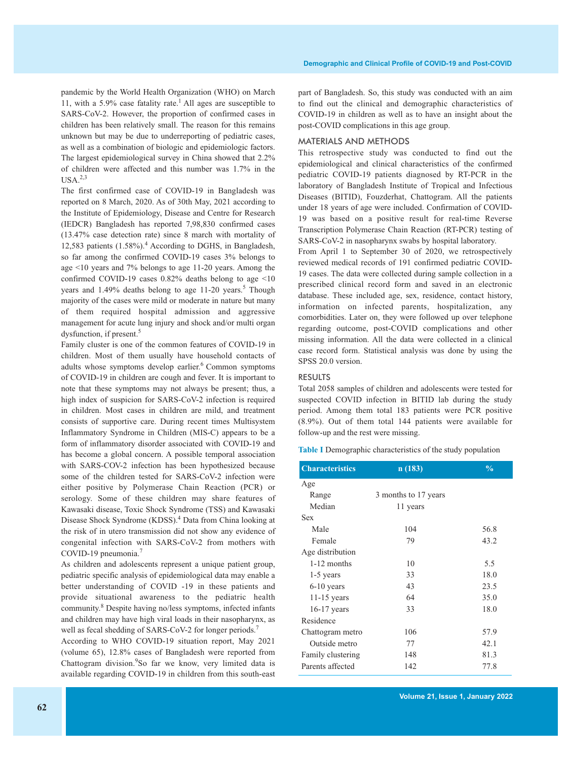pandemic by the World Health Organization (WHO) on March 11, with a 5.9% case fatality rate. <sup>1</sup> All ages are susceptible to SARS-CoV-2. However, the proportion of confirmed cases in children has been relatively small. The reason for this remains unknown but may be due to underreporting of pediatric cases, as well as a combination of biologic and epidemiologic factors. The largest epidemiological survey in China showed that 2.2% of children were affected and this number was 1.7% in the  $USA.<sup>2,3</sup>$ 

The first confirmed case of COVID-19 in Bangladesh was reported on 8 March, 2020. As of 30th May, 2021 according to the Institute of Epidemiology, Disease and Centre for Research (IEDCR) Bangladesh has reported 7,98,830 confirmed cases (13.47% case detection rate) since 8 march with mortality of 12,583 patients (1.58%). <sup>4</sup> According to DGHS, in Bangladesh, so far among the confirmed COVID-19 cases 3% belongs to age <10 years and 7% belongs to age 11-20 years. Among the confirmed COVID-19 cases 0.82% deaths belong to age <10 years and 1.49% deaths belong to age 11-20 years. <sup>5</sup> Though majority of the cases were mild or moderate in nature but many of them required hospital admission and aggressive management for acute lung injury and shock and/or multi organ dysfunction, if present. 5

Family cluster is one of the common features of COVID-19 in children. Most of them usually have household contacts of adults whose symptoms develop earlier. <sup>6</sup> Common symptoms of COVID-19 in children are cough and fever. It is important to note that these symptoms may not always be present; thus, a high index of suspicion for SARS-CoV-2 infection is required in children. Most cases in children are mild, and treatment consists of supportive care. During recent times Multisystem Inflammatory Syndrome in Children (MIS-C) appears to be a form of inflammatory disorder associated with COVID-19 and has become a global concern. A possible temporal association with SARS-COV-2 infection has been hypothesized because some of the children tested for SARS-CoV-2 infection were either positive by Polymerase Chain Reaction (PCR) or serology. Some of these children may share features of Kawasaki disease, Toxic Shock Syndrome (TSS) and Kawasaki Disease Shock Syndrome (KDSS). <sup>4</sup> Data from China looking at the risk of in utero transmission did not show any evidence of congenital infection with SARS-CoV-2 from mothers with COVID-19 pneumonia. 7

As children and adolescents represent a unique patient group, pediatric specific analysis of epidemiological data may enable a better understanding of COVID -19 in these patients and provide situational awareness to the pediatric health community. <sup>8</sup> Despite having no/less symptoms, infected infants and children may have high viral loads in their nasopharynx, as well as fecal shedding of SARS-CoV-2 for longer periods. 7

According to WHO COVID-19 situation report, May 2021 (volume 65), 12.8% cases of Bangladesh were reported from Chattogram division. 9 So far we know, very limited data is available regarding COVID-19 in children from this south-east part of Bangladesh. So, this study was conducted with an aim to find out the clinical and demographic characteristics of COVID-19 in children as well as to have an insight about the post-COVID complications in this age group.

# MATERIALS AND METHODS

This retrospective study was conducted to find out the epidemiological and clinical characteristics of the confirmed pediatric COVID-19 patients diagnosed by RT-PCR in the laboratory of Bangladesh Institute of Tropical and Infectious Diseases (BITID), Fouzderhat, Chattogram. All the patients under 18 years of age were included. Confirmation of COVID-19 was based on a positive result for real-time Reverse Transcription Polymerase Chain Reaction (RT-PCR) testing of SARS-CoV-2 in nasopharynx swabs by hospital laboratory.

From April 1 to September 30 of 2020, we retrospectively reviewed medical records of 191 confirmed pediatric COVID-19 cases. The data were collected during sample collection in a prescribed clinical record form and saved in an electronic database. These included age, sex, residence, contact history, information on infected parents, hospitalization, any comorbidities. Later on, they were followed up over telephone regarding outcome, post-COVID complications and other missing information. All the data were collected in a clinical case record form. Statistical analysis was done by using the SPSS 20.0 version.

## **RESULTS**

Total 2058 samples of children and adolescents were tested for suspected COVID infection in BITID lab during the study period. Among them total 183 patients were PCR positive (8.9%). Out of them total 144 patients were available for follow-up and the rest were missing.

**Table I** Demographic characteristics of the study population

| <b>Characteristics</b> | n(183)               | $\frac{0}{0}$ |
|------------------------|----------------------|---------------|
| Age                    |                      |               |
| Range                  | 3 months to 17 years |               |
| Median                 | 11 years             |               |
| Sex                    |                      |               |
| Male                   | 104                  | 56.8          |
| Female                 | 79                   | 43.2          |
| Age distribution       |                      |               |
| 1-12 months            | 10                   | 5.5           |
| 1-5 years              | 33                   | 18.0          |
| $6-10$ years           | 43                   | 23.5          |
| $11-15$ years          | 64                   | 35.0          |
| $16-17$ years          | 33                   | 18.0          |
| Residence              |                      |               |
| Chattogram metro       | 106                  | 57.9          |
| Outside metro          | 77                   | 42.1          |
| Family clustering      | 148                  | 81.3          |
| Parents affected       | 142                  | 77.8          |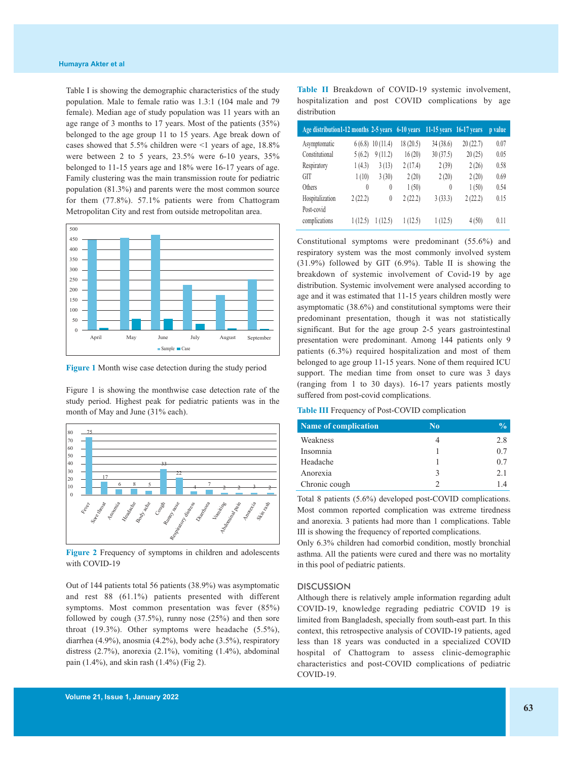Table I is showing the demographic characteristics of the study population. Male to female ratio was 1.3:1 (104 male and 79 female). Median age of study population was 11 years with an age range of 3 months to 17 years. Most of the patients (35%) belonged to the age group 11 to 15 years. Age break down of cases showed that 5.5% children were <1 years of age, 18.8% were between 2 to 5 years, 23.5% were 6-10 years, 35% belonged to 11-15 years age and 18% were 16-17 years of age. Family clustering was the main transmission route for pediatric population (81.3%) and parents were the most common source for them (77.8%). 57.1% patients were from Chattogram Metropolitan City and rest from outside metropolitan area.



**Figure 1** Month wise case detection during the study period

Figure 1 is showing the monthwise case detection rate of the study period. Highest peak for pediatric patients was in the month of May and June (31% each).



**Figure 2** Frequency of symptoms in children and adolescents with COVID-19

Out of 144 patients total 56 patients (38.9%) was asymptomatic and rest 88 (61.1%) patients presented with different symptoms. Most common presentation was fever (85%) followed by cough (37.5%), runny nose (25%) and then sore throat (19.3%). Other symptoms were headache (5.5%), diarrhea (4.9%), anosmia (4.2%), body ache (3.5%), respiratory distress (2.7%), anorexia (2.1%), vomiting (1.4%), abdominal pain (1.4%), and skin rash (1.4%) (Fig 2).

| <b>Table II</b> Breakdown of COVID-19 systemic involvement, |  |  |  |  |
|-------------------------------------------------------------|--|--|--|--|
| hospitalization and post COVID complications by age         |  |  |  |  |
| distribution                                                |  |  |  |  |

| Age distribution1-12 months 2-5 years 6-10 years |          |          |           | 11-15 years $\overline{16-17}$ years |          | p value |
|--------------------------------------------------|----------|----------|-----------|--------------------------------------|----------|---------|
| Asymptomatic                                     | 6(6.8)   | 10(11.4) | 18 (20.5) | 34(38.6)                             | 20(22.7) | 0.07    |
| Constitutional                                   | 5(6.2)   | 9(11.2)  | 16(20)    | 30(37.5)                             | 20(25)   | 0.05    |
| Respiratory                                      | 1(4.3)   | 3(13)    | 2(17.4)   | 2(39)                                | 2(26)    | 0.58    |
| <b>GIT</b>                                       | 1(10)    | 3(30)    | 2(20)     | 2(20)                                | 2(20)    | 0.69    |
| <b>Others</b>                                    | $\theta$ | $\theta$ | 1(50)     | $\theta$                             | 1(50)    | 0.54    |
| Hospitalization                                  | 2(22.2)  | $\theta$ | 2(22.2)   | 3(33.3)                              | 2(22.2)  | 0.15    |
| Post-covid                                       |          |          |           |                                      |          |         |
| complications                                    | 1 (12.5) | 1 (12.5) | 1(12.5)   | 1(12.5)                              | 4(50)    | 0.11    |

Constitutional symptoms were predominant (55.6%) and respiratory system was the most commonly involved system (31.9%) followed by GIT (6.9%). Table II is showing the breakdown of systemic involvement of Covid-19 by age distribution. Systemic involvement were analysed according to age and it was estimated that 11-15 years children mostly were asymptomatic (38.6%) and constitutional symptoms were their predominant presentation, though it was not statistically significant. But for the age group 2-5 years gastrointestinal presentation were predominant. Among 144 patients only 9 patients (6.3%) required hospitalization and most of them belonged to age group 11-15 years. None of them required ICU support. The median time from onset to cure was 3 days (ranging from 1 to 30 days). 16-17 years patients mostly suffered from post-covid complications.

| <b>Table III</b> Frequency of Post-COVID complication |  |  |
|-------------------------------------------------------|--|--|
|-------------------------------------------------------|--|--|

| <b>Name of complication</b> | $\bf No$ | $\frac{0}{0}$ |
|-----------------------------|----------|---------------|
| Weakness                    |          | 2.8           |
| Insomnia                    |          | 0.7           |
| Headache                    |          | 0.7           |
| Anorexia                    | 3        | 2.1           |
| Chronic cough               |          | 14            |

Total 8 patients (5.6%) developed post-COVID complications. Most common reported complication was extreme tiredness and anorexia. 3 patients had more than 1 complications. Table III is showing the frequency of reported complications.

Only 6.3% children had comorbid condition, mostly bronchial asthma. All the patients were cured and there was no mortality in this pool of pediatric patients.

#### **DISCUSSION**

Although there is relatively ample information regarding adult COVID-19, knowledge regrading pediatric COVID 19 is limited from Bangladesh, specially from south-east part. In this context, this retrospective analysis of COVID-19 patients, aged less than 18 years was conducted in a specialized COVID hospital of Chattogram to assess clinic-demographic characteristics and post-COVID complications of pediatric COVID-19.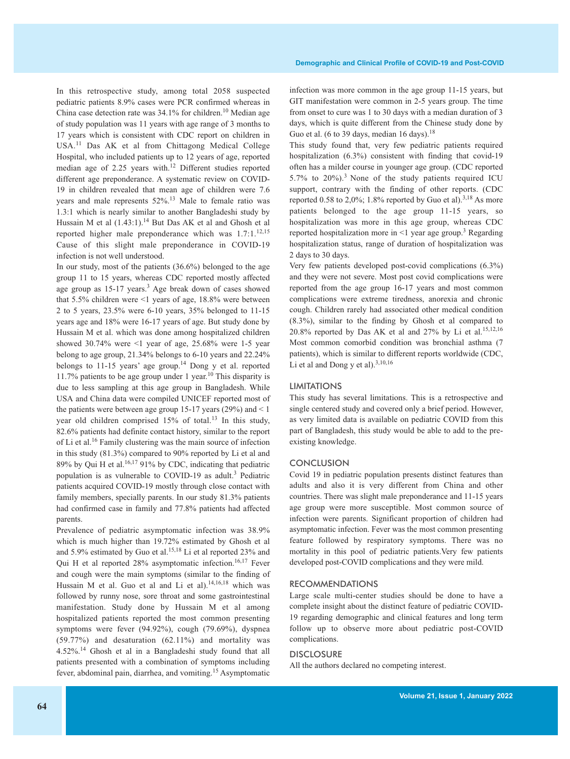In this retrospective study, among total 2058 suspected pediatric patients 8.9% cases were PCR confirmed whereas in China case detection rate was 34.1% for children.<sup>10</sup> Median age of study population was 11 years with age range of 3 months to 17 years which is consistent with CDC report on children in USA. <sup>11</sup> Das AK et al from Chittagong Medical College Hospital, who included patients up to 12 years of age, reported median age of 2.25 years with. <sup>12</sup> Different studies reported different age preponderance. A systematic review on COVID-19 in children revealed that mean age of children were 7.6 years and male represents 52%. <sup>13</sup> Male to female ratio was 1.3:1 which is nearly similar to another Bangladeshi study by Hussain M et al  $(1.43:1)$ .<sup>14</sup> But Das AK et al and Ghosh et al reported higher male preponderance which was 1.7:1.<sup>12,15</sup> Cause of this slight male preponderance in COVID-19 infection is not well understood.

In our study, most of the patients (36.6%) belonged to the age group 11 to 15 years, whereas CDC reported mostly affected age group as 15-17 years.<sup>3</sup> Age break down of cases showed that 5.5% children were <1 years of age, 18.8% were between 2 to 5 years, 23.5% were 6-10 years, 35% belonged to 11-15 years age and 18% were 16-17 years of age. But study done by Hussain M et al. which was done among hospitalized children showed  $30.74\%$  were  $\leq 1$  year of age, 25.68% were 1-5 year belong to age group, 21.34% belongs to 6-10 years and 22.24% belongs to 11-15 years' age group. <sup>14</sup> Dong y et al. reported 11.7% patients to be age group under 1 year. <sup>10</sup> This disparity is due to less sampling at this age group in Bangladesh. While USA and China data were compiled UNICEF reported most of the patients were between age group 15-17 years  $(29\%)$  and  $\leq 1$ year old children comprised 15% of total.<sup>13</sup> In this study, 82.6% patients had definite contact history, similar to the report of Li et al. <sup>16</sup> Family clustering was the main source of infection in this study (81.3%) compared to 90% reported by Li et al and 89% by Qui H et al. 16,17 91% by CDC, indicating that pediatric population is as vulnerable to COVID-19 as adult. <sup>3</sup> Pediatric patients acquired COVID-19 mostly through close contact with family members, specially parents. In our study 81.3% patients had confirmed case in family and 77.8% patients had affected parents.

Prevalence of pediatric asymptomatic infection was 38.9% which is much higher than 19.72% estimated by Ghosh et al and 5.9% estimated by Guo et al. 15,18 Li et al reported 23% and Qui H et al reported 28% asymptomatic infection.<sup>16,17</sup> Fever and cough were the main symptoms (similar to the finding of Hussain M et al. Guo et al and Li et al).<sup>14,16,18</sup> which was followed by runny nose, sore throat and some gastrointestinal manifestation. Study done by Hussain M et al among hospitalized patients reported the most common presenting symptoms were fever (94.92%), cough (79.69%), dyspnea (59.77%) and desaturation (62.11%) and mortality was 4.52%. <sup>14</sup> Ghosh et al in a Bangladeshi study found that all patients presented with a combination of symptoms including fever, abdominal pain, diarrhea, and vomiting.<sup>15</sup> Asymptomatic

infection was more common in the age group 11-15 years, but GIT manifestation were common in 2-5 years group. The time from onset to cure was 1 to 30 days with a median duration of 3 days, which is quite different from the Chinese study done by Guo et al. (6 to 39 days, median 16 days).<sup>18</sup>

This study found that, very few pediatric patients required hospitalization (6.3%) consistent with finding that covid-19 often has a milder course in younger age group. (CDC reported 5.7% to 20%). <sup>3</sup> None of the study patients required ICU support, contrary with the finding of other reports. (CDC reported 0.58 to 2,0%; 1.8% reported by Guo et al).<sup>3,18</sup> As more patients belonged to the age group 11-15 years, so hospitalization was more in this age group, whereas CDC reported hospitalization more in <1 year age group. <sup>3</sup> Regarding hospitalization status, range of duration of hospitalization was 2 days to 30 days.

Very few patients developed post-covid complications (6.3%) and they were not severe. Most post covid complications were reported from the age group 16-17 years and most common complications were extreme tiredness, anorexia and chronic cough. Children rarely had associated other medical condition (8.3%), similar to the finding by Ghosh et al compared to 20.8% reported by Das AK et al and  $27\%$  by Li et al.<sup>15,12,16</sup> Most common comorbid condition was bronchial asthma (7 patients), which is similar to different reports worldwide (CDC, Li et al and Dong y et al). $^{3,10,16}$ 

#### LIMITATIONS

This study has several limitations. This is a retrospective and single centered study and covered only a brief period. However, as very limited data is available on pediatric COVID from this part of Bangladesh, this study would be able to add to the preexisting knowledge.

#### **CONCLUSION**

Covid 19 in pediatric population presents distinct features than adults and also it is very different from China and other countries. There was slight male preponderance and 11-15 years age group were more susceptible. Most common source of infection were parents. Significant proportion of children had asymptomatic infection. Fever was the most common presenting feature followed by respiratory symptoms. There was no mortality in this pool of pediatric patients.Very few patients developed post-COVID complications and they were mild.

#### RECOMMENDATIONS

Large scale multi-center studies should be done to have a complete insight about the distinct feature of pediatric COVID-19 regarding demographic and clinical features and long term follow up to observe more about pediatric post-COVID complications.

### **DISCLOSURE**

All the authors declared no competing interest.